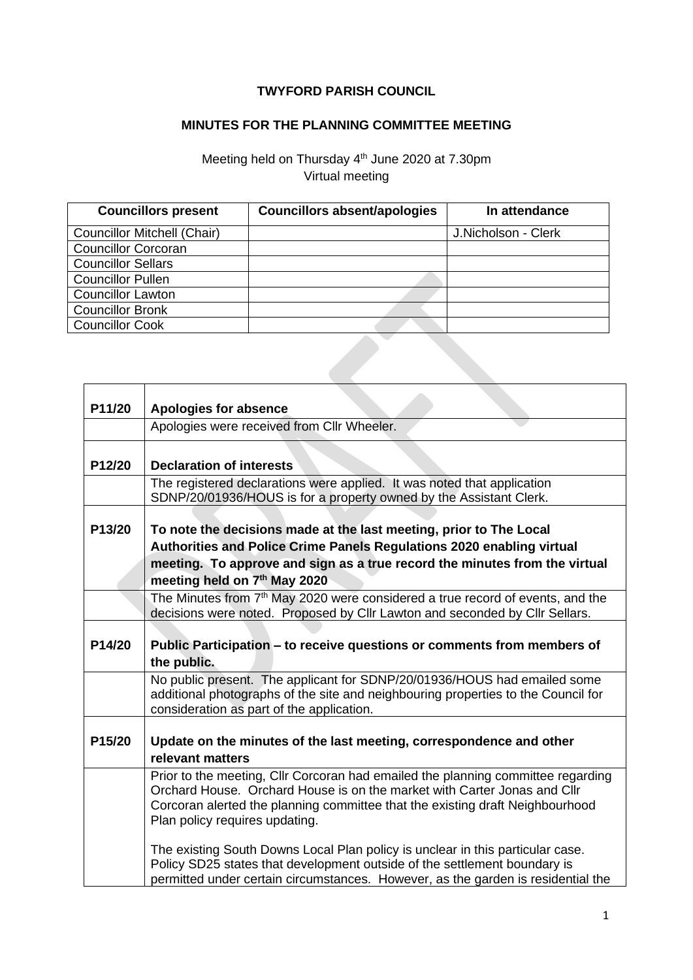## **TWYFORD PARISH COUNCIL**

## **MINUTES FOR THE PLANNING COMMITTEE MEETING**

## Meeting held on Thursday 4<sup>th</sup> June 2020 at 7.30pm Virtual meeting

| <b>Councillors present</b>         | <b>Councillors absent/apologies</b> | In attendance       |
|------------------------------------|-------------------------------------|---------------------|
| <b>Councillor Mitchell (Chair)</b> |                                     | J.Nicholson - Clerk |
| <b>Councillor Corcoran</b>         |                                     |                     |
| <b>Councillor Sellars</b>          |                                     |                     |
| <b>Councillor Pullen</b>           |                                     |                     |
| <b>Councillor Lawton</b>           |                                     |                     |
| <b>Councillor Bronk</b>            |                                     |                     |
| <b>Councillor Cook</b>             |                                     |                     |
|                                    |                                     |                     |

| P11/20              | <b>Apologies for absence</b>                                                                                                                                                                                                                                                    |
|---------------------|---------------------------------------------------------------------------------------------------------------------------------------------------------------------------------------------------------------------------------------------------------------------------------|
|                     | Apologies were received from Cllr Wheeler.                                                                                                                                                                                                                                      |
| P12/20              | <b>Declaration of interests</b>                                                                                                                                                                                                                                                 |
|                     | The registered declarations were applied. It was noted that application<br>SDNP/20/01936/HOUS is for a property owned by the Assistant Clerk.                                                                                                                                   |
| P13/20              | To note the decisions made at the last meeting, prior to The Local<br>Authorities and Police Crime Panels Regulations 2020 enabling virtual<br>meeting. To approve and sign as a true record the minutes from the virtual<br>meeting held on 7th May 2020                       |
|                     | The Minutes from 7 <sup>th</sup> May 2020 were considered a true record of events, and the<br>decisions were noted. Proposed by Cllr Lawton and seconded by Cllr Sellars.                                                                                                       |
| P14/20              | Public Participation – to receive questions or comments from members of<br>the public.                                                                                                                                                                                          |
|                     | No public present. The applicant for SDNP/20/01936/HOUS had emailed some<br>additional photographs of the site and neighbouring properties to the Council for<br>consideration as part of the application.                                                                      |
| P <sub>15</sub> /20 | Update on the minutes of the last meeting, correspondence and other<br>relevant matters                                                                                                                                                                                         |
|                     | Prior to the meeting, Cllr Corcoran had emailed the planning committee regarding<br>Orchard House. Orchard House is on the market with Carter Jonas and Cllr<br>Corcoran alerted the planning committee that the existing draft Neighbourhood<br>Plan policy requires updating. |
|                     | The existing South Downs Local Plan policy is unclear in this particular case.<br>Policy SD25 states that development outside of the settlement boundary is<br>permitted under certain circumstances. However, as the garden is residential the                                 |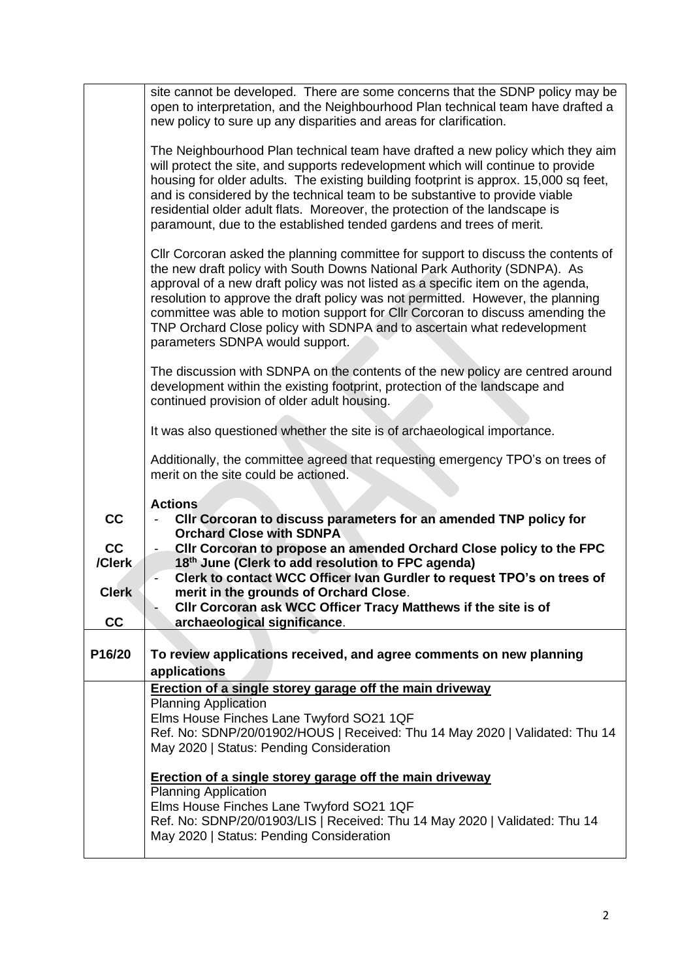|              | site cannot be developed. There are some concerns that the SDNP policy may be<br>open to interpretation, and the Neighbourhood Plan technical team have drafted a<br>new policy to sure up any disparities and areas for clarification.                                                                                                                                                                                                                                                                                              |
|--------------|--------------------------------------------------------------------------------------------------------------------------------------------------------------------------------------------------------------------------------------------------------------------------------------------------------------------------------------------------------------------------------------------------------------------------------------------------------------------------------------------------------------------------------------|
|              | The Neighbourhood Plan technical team have drafted a new policy which they aim<br>will protect the site, and supports redevelopment which will continue to provide<br>housing for older adults. The existing building footprint is approx. 15,000 sq feet,<br>and is considered by the technical team to be substantive to provide viable<br>residential older adult flats. Moreover, the protection of the landscape is<br>paramount, due to the established tended gardens and trees of merit.                                     |
|              | Cllr Corcoran asked the planning committee for support to discuss the contents of<br>the new draft policy with South Downs National Park Authority (SDNPA). As<br>approval of a new draft policy was not listed as a specific item on the agenda,<br>resolution to approve the draft policy was not permitted. However, the planning<br>committee was able to motion support for CIIr Corcoran to discuss amending the<br>TNP Orchard Close policy with SDNPA and to ascertain what redevelopment<br>parameters SDNPA would support. |
|              | The discussion with SDNPA on the contents of the new policy are centred around<br>development within the existing footprint, protection of the landscape and<br>continued provision of older adult housing.                                                                                                                                                                                                                                                                                                                          |
|              | It was also questioned whether the site is of archaeological importance.                                                                                                                                                                                                                                                                                                                                                                                                                                                             |
|              | Additionally, the committee agreed that requesting emergency TPO's on trees of<br>merit on the site could be actioned.                                                                                                                                                                                                                                                                                                                                                                                                               |
| cc           | <b>Actions</b><br>CIIr Corcoran to discuss parameters for an amended TNP policy for<br><b>Orchard Close with SDNPA</b>                                                                                                                                                                                                                                                                                                                                                                                                               |
| cc<br>/Clerk | Cllr Corcoran to propose an amended Orchard Close policy to the FPC<br>18th June (Clerk to add resolution to FPC agenda)                                                                                                                                                                                                                                                                                                                                                                                                             |
| <b>Clerk</b> | Clerk to contact WCC Officer Ivan Gurdler to request TPO's on trees of<br>merit in the grounds of Orchard Close.                                                                                                                                                                                                                                                                                                                                                                                                                     |
| cc           | CIIr Corcoran ask WCC Officer Tracy Matthews if the site is of<br>archaeological significance.                                                                                                                                                                                                                                                                                                                                                                                                                                       |
|              |                                                                                                                                                                                                                                                                                                                                                                                                                                                                                                                                      |
| P16/20       | To review applications received, and agree comments on new planning<br>applications                                                                                                                                                                                                                                                                                                                                                                                                                                                  |
|              | <b>Erection of a single storey garage off the main driveway</b>                                                                                                                                                                                                                                                                                                                                                                                                                                                                      |
|              | <b>Planning Application</b><br>Elms House Finches Lane Twyford SO21 1QF<br>Ref. No: SDNP/20/01902/HOUS   Received: Thu 14 May 2020   Validated: Thu 14<br>May 2020   Status: Pending Consideration                                                                                                                                                                                                                                                                                                                                   |
|              | Erection of a single storey garage off the main driveway                                                                                                                                                                                                                                                                                                                                                                                                                                                                             |
|              | <b>Planning Application</b><br>Elms House Finches Lane Twyford SO21 1QF<br>Ref. No: SDNP/20/01903/LIS   Received: Thu 14 May 2020   Validated: Thu 14<br>May 2020   Status: Pending Consideration                                                                                                                                                                                                                                                                                                                                    |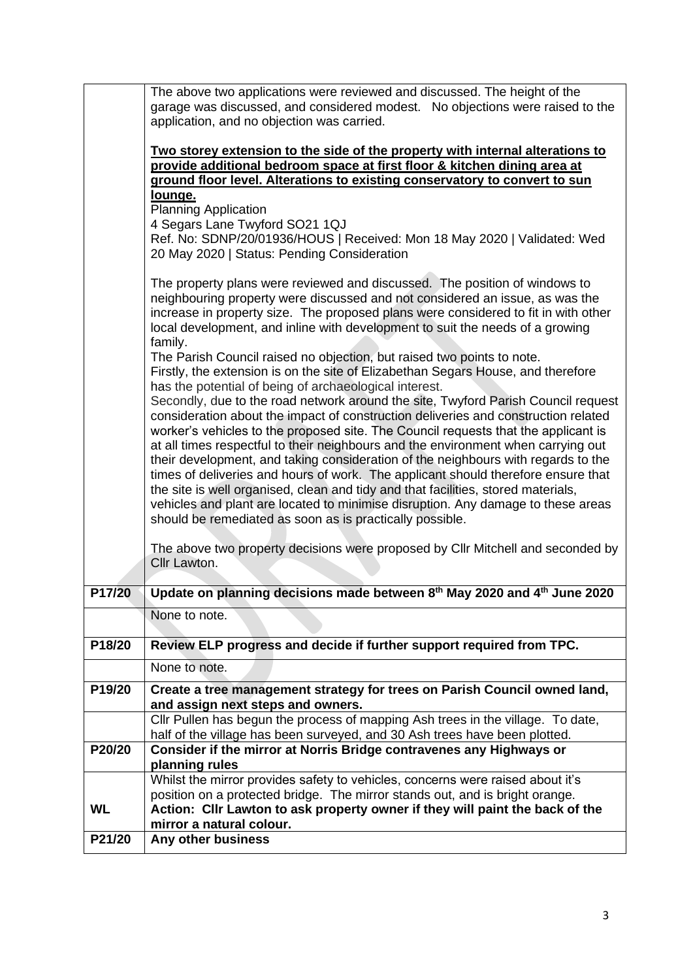|           | The above two applications were reviewed and discussed. The height of the<br>garage was discussed, and considered modest.  No objections were raised to the                                                                                                                                                                                                                                                                                                                                                                                                                            |
|-----------|----------------------------------------------------------------------------------------------------------------------------------------------------------------------------------------------------------------------------------------------------------------------------------------------------------------------------------------------------------------------------------------------------------------------------------------------------------------------------------------------------------------------------------------------------------------------------------------|
|           | application, and no objection was carried.                                                                                                                                                                                                                                                                                                                                                                                                                                                                                                                                             |
|           | Two storey extension to the side of the property with internal alterations to<br>provide additional bedroom space at first floor & kitchen dining area at<br>ground floor level. Alterations to existing conservatory to convert to sun                                                                                                                                                                                                                                                                                                                                                |
|           | lounge.<br><b>Planning Application</b>                                                                                                                                                                                                                                                                                                                                                                                                                                                                                                                                                 |
|           | 4 Segars Lane Twyford SO21 1QJ                                                                                                                                                                                                                                                                                                                                                                                                                                                                                                                                                         |
|           | Ref. No: SDNP/20/01936/HOUS   Received: Mon 18 May 2020   Validated: Wed<br>20 May 2020   Status: Pending Consideration                                                                                                                                                                                                                                                                                                                                                                                                                                                                |
|           | The property plans were reviewed and discussed. The position of windows to<br>neighbouring property were discussed and not considered an issue, as was the<br>increase in property size. The proposed plans were considered to fit in with other<br>local development, and inline with development to suit the needs of a growing<br>family.                                                                                                                                                                                                                                           |
|           | The Parish Council raised no objection, but raised two points to note.<br>Firstly, the extension is on the site of Elizabethan Segars House, and therefore                                                                                                                                                                                                                                                                                                                                                                                                                             |
|           | has the potential of being of archaeological interest.<br>Secondly, due to the road network around the site, Twyford Parish Council request<br>consideration about the impact of construction deliveries and construction related<br>worker's vehicles to the proposed site. The Council requests that the applicant is<br>at all times respectful to their neighbours and the environment when carrying out<br>their development, and taking consideration of the neighbours with regards to the<br>times of deliveries and hours of work. The applicant should therefore ensure that |
|           | the site is well organised, clean and tidy and that facilities, stored materials,<br>vehicles and plant are located to minimise disruption. Any damage to these areas<br>should be remediated as soon as is practically possible.                                                                                                                                                                                                                                                                                                                                                      |
|           | The above two property decisions were proposed by Cllr Mitchell and seconded by                                                                                                                                                                                                                                                                                                                                                                                                                                                                                                        |
|           | Cllr Lawton.                                                                                                                                                                                                                                                                                                                                                                                                                                                                                                                                                                           |
| P17/20    | Update on planning decisions made between 8th May 2020 and 4th June 2020                                                                                                                                                                                                                                                                                                                                                                                                                                                                                                               |
|           | None to note.                                                                                                                                                                                                                                                                                                                                                                                                                                                                                                                                                                          |
|           |                                                                                                                                                                                                                                                                                                                                                                                                                                                                                                                                                                                        |
| P18/20    | Review ELP progress and decide if further support required from TPC.                                                                                                                                                                                                                                                                                                                                                                                                                                                                                                                   |
|           | None to note.                                                                                                                                                                                                                                                                                                                                                                                                                                                                                                                                                                          |
| P19/20    | Create a tree management strategy for trees on Parish Council owned land,<br>and assign next steps and owners.                                                                                                                                                                                                                                                                                                                                                                                                                                                                         |
|           | Cllr Pullen has begun the process of mapping Ash trees in the village. To date,<br>half of the village has been surveyed, and 30 Ash trees have been plotted.                                                                                                                                                                                                                                                                                                                                                                                                                          |
| P20/20    | Consider if the mirror at Norris Bridge contravenes any Highways or                                                                                                                                                                                                                                                                                                                                                                                                                                                                                                                    |
|           | planning rules                                                                                                                                                                                                                                                                                                                                                                                                                                                                                                                                                                         |
|           | Whilst the mirror provides safety to vehicles, concerns were raised about it's<br>position on a protected bridge. The mirror stands out, and is bright orange.                                                                                                                                                                                                                                                                                                                                                                                                                         |
| <b>WL</b> | Action: Cllr Lawton to ask property owner if they will paint the back of the<br>mirror a natural colour.                                                                                                                                                                                                                                                                                                                                                                                                                                                                               |
| P21/20    | Any other business                                                                                                                                                                                                                                                                                                                                                                                                                                                                                                                                                                     |